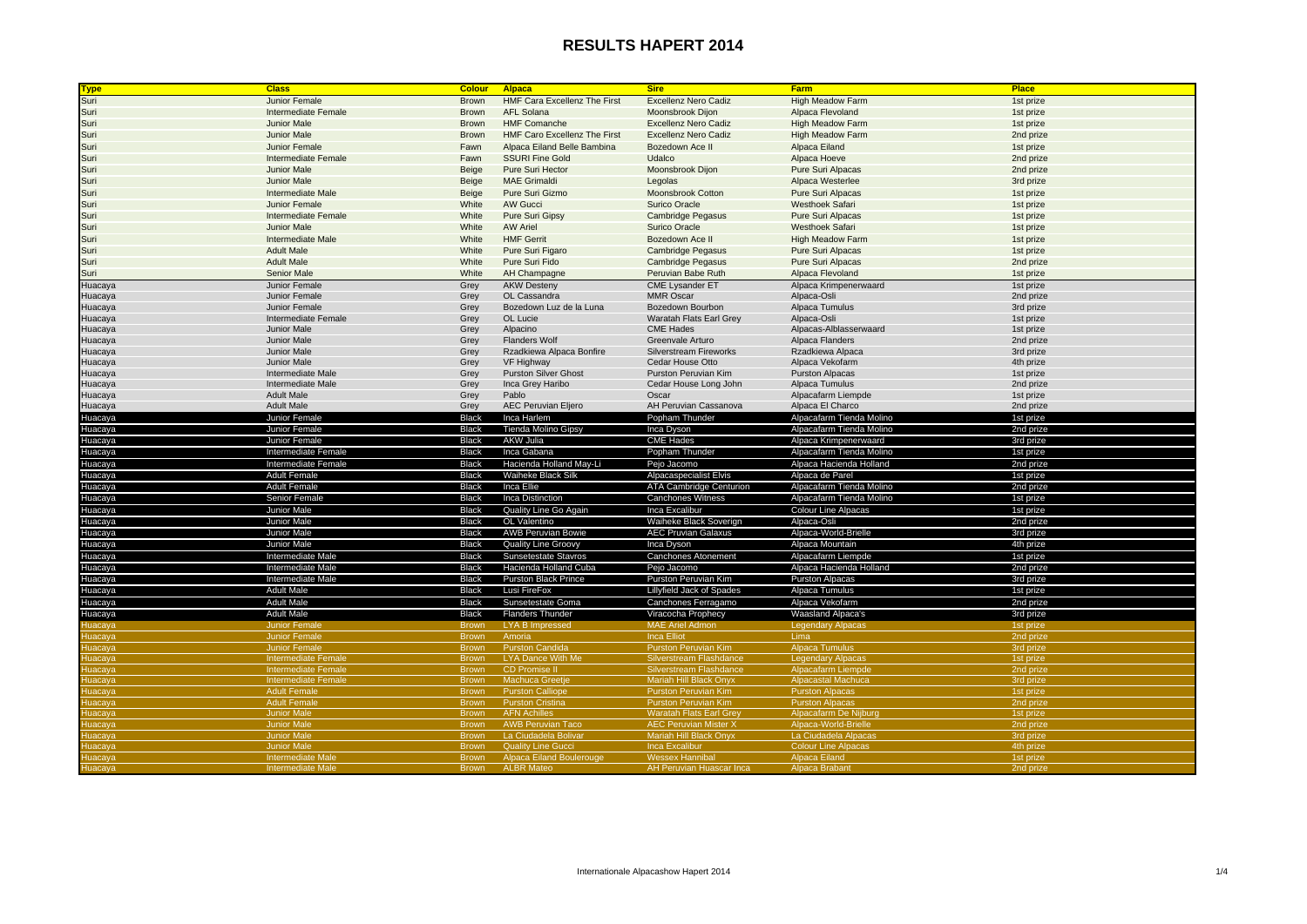| <b>Type</b>    | <b>Class</b>                             | <b>Colour</b>         | <b>Alpaca</b>                             | <b>Sire</b>                                | <b>Farm</b>                                          | <b>Place</b>           |
|----------------|------------------------------------------|-----------------------|-------------------------------------------|--------------------------------------------|------------------------------------------------------|------------------------|
| Suri           | Junior Female                            | <b>Brown</b>          | <b>HMF Cara Excellenz The First</b>       | <b>Excellenz Nero Cadiz</b>                | <b>High Meadow Farm</b>                              | 1st prize              |
| Suri           | Intermediate Female                      | <b>Brown</b>          | <b>AFL Solana</b>                         | Moonsbrook Dijon                           | Alpaca Flevoland                                     | 1st prize              |
| Suri           | <b>Junior Male</b>                       | <b>Brown</b>          | <b>HMF Comanche</b>                       | <b>Excellenz Nero Cadiz</b>                | <b>High Meadow Farm</b>                              | 1st prize              |
| Suri           | Junior Male                              | <b>Brown</b>          | <b>HMF Caro Excellenz The First</b>       | <b>Excellenz Nero Cadiz</b>                | <b>High Meadow Farm</b>                              | 2nd prize              |
| Suri           | Junior Female                            | Fawn                  | Alpaca Eiland Belle Bambina               | Bozedown Ace II                            | Alpaca Eiland                                        | 1st prize              |
| Suri           | Intermediate Female                      | Fawn                  | <b>SSURI Fine Gold</b>                    | Udalco                                     | Alpaca Hoeve                                         | 2nd prize              |
| Suri           | <b>Junior Male</b>                       | Beige                 | Pure Suri Hector                          | Moonsbrook Dijon                           | <b>Pure Suri Alpacas</b>                             | 2nd prize              |
| Suri           | <b>Junior Male</b>                       | Beige                 | <b>MAE Grimaldi</b>                       | Legolas                                    | Alpaca Westerlee                                     | 3rd prize              |
| Suri           | Intermediate Male                        | Beige                 | Pure Suri Gizmo                           | <b>Moonsbrook Cotton</b>                   | Pure Suri Alpacas                                    | 1st prize              |
| Suri           | Junior Female                            | White                 | <b>AW Gucci</b>                           | Surico Oracle                              | Westhoek Safari                                      | 1st prize              |
| Suri           | Intermediate Female                      | White                 | <b>Pure Suri Gipsy</b>                    | <b>Cambridge Pegasus</b>                   | <b>Pure Suri Alpacas</b>                             | 1st prize              |
| Suri           | <b>Junior Male</b>                       | White                 | <b>AW Ariel</b>                           | Surico Oracle                              | Westhoek Safari                                      | 1st prize              |
|                | <b>Intermediate Male</b>                 | White                 | <b>HMF Gerrit</b>                         | Bozedown Ace II                            | <b>High Meadow Farm</b>                              |                        |
| Suri           | <b>Adult Male</b>                        |                       |                                           |                                            |                                                      | 1st prize              |
| Suri           |                                          | White                 | Pure Suri Figaro                          | <b>Cambridge Pegasus</b>                   | Pure Suri Alpacas                                    | 1st prize              |
| Suri           | <b>Adult Male</b>                        | White                 | Pure Suri Fido                            | <b>Cambridge Pegasus</b>                   | Pure Suri Alpacas                                    | 2nd prize              |
| Suri           | <b>Senior Male</b>                       | White                 | AH Champagne                              | Peruvian Babe Ruth                         | Alpaca Flevoland                                     | 1st prize              |
| Huacaya        | Junior Female                            | Grey                  | <b>AKW Desteny</b>                        | <b>CME Lysander ET</b>                     | Alpaca Krimpenerwaard                                | 1st prize              |
| Huacaya        | Junior Female                            | Grey                  | OL Cassandra                              | <b>MMR Oscar</b>                           | Alpaca-Osli                                          | 2nd prize              |
| Huacaya        | Junior Female                            | Grey                  | Bozedown Luz de la Luna                   | Bozedown Bourbon                           | Alpaca Tumulus                                       | 3rd prize              |
| Huacaya        | Intermediate Female                      | Grey                  | OL Lucie                                  | Waratah Flats Earl Grey                    | Alpaca-Osli                                          | 1st prize              |
| Huacaya        | <b>Junior Male</b>                       | Grey                  | Alpacino                                  | <b>CME Hades</b>                           | Alpacas-Alblasserwaard                               | 1st prize              |
| Huacaya        | <b>Junior Male</b>                       | Grey                  | <b>Flanders Wolf</b>                      | Greenvale Arturo                           | Alpaca Flanders                                      | 2nd prize              |
| Huacaya        | <b>Junior Male</b><br><b>Junior Male</b> | Grey                  | Rzadkiewa Alpaca Bonfire                  | Silverstream Fireworks<br>Cedar House Otto | Rzadkiewa Alpaca<br>Alpaca Vekofarm                  | 3rd prize              |
| Huacaya        | Intermediate Male                        | Grey<br>Grey          | VF Highway<br><b>Purston Silver Ghost</b> | Purston Peruvian Kim                       | <b>Purston Alpacas</b>                               | 4th prize<br>1st prize |
| Huacaya        | Intermediate Male                        |                       | Inca Grey Haribo                          |                                            | Alpaca Tumulus                                       |                        |
| Huacaya        | <b>Adult Male</b>                        | Grey                  | Pablo                                     | Cedar House Long John<br>Oscar             |                                                      | 2nd prize              |
| Huacaya        | <b>Adult Male</b>                        | Grey                  |                                           |                                            | Alpacafarm Liempde<br>Alpaca El Charco               | 1st prize              |
| Huacaya        |                                          | Grey                  | AEC Peruvian Eljero                       | AH Peruvian Cassanova                      |                                                      | 2nd prize              |
| Huacaya        | Junior Female                            | <b>Black</b><br>Black | Inca Harlem                               | Popham Thunder                             | Alpacafarm Tienda Molino<br>Alpacafarm Tienda Molino | 1st prize<br>2nd prize |
| Huacaya        | Junior Female<br>Junior Female           | Black                 | Tienda Molino Gipsy<br>AKW Julia          | Inca Dyson<br><b>CME Hades</b>             | Alpaca Krimpenerwaard                                |                        |
| Huacaya        |                                          |                       |                                           |                                            |                                                      | 3rd prize              |
| Huacaya        | Intermediate Female                      | <b>Black</b>          | Inca Gabana                               | Popham Thunder                             | Alpacafarm Tienda Molino                             | 1st prize              |
| Huacaya        | Intermediate Female                      | <b>Black</b>          | Hacienda Holland May-Li                   | Pejo Jacomo                                | Alpaca Hacienda Holland                              | 2nd prize              |
| Huacaya        | Adult Female                             | <b>Black</b>          | Waiheke Black Silk                        | Alpacaspecialist Elvis                     | Alpaca de Parel                                      | 1st prize              |
| Huacaya        | <b>Adult Female</b>                      | <b>Black</b>          | Inca Ellie                                | <b>ATA Cambridge Centurion</b>             | Alpacafarm Tienda Molino                             | 2nd prize              |
| Huacaya        | Senior Female                            | Black                 | Inca Distinction                          | <b>Canchones Witness</b>                   | Alpacafarm Tienda Molino                             | 1st prize              |
| Huacaya        | Junior Male                              | Black                 | Quality Line Go Again                     | Inca Excalibur                             | <b>Colour Line Alpacas</b>                           | 1st prize              |
| Huacaya        | Junior Male                              | <b>Black</b>          | OL Valentino                              | Waiheke Black Soverign                     | Alpaca-Osli                                          | 2nd prize              |
| Huacaya        | Junior Male                              | <b>Black</b>          | <b>AWB Peruvian Bowie</b>                 | <b>AEC Pruvian Galaxus</b>                 | Alpaca-World-Brielle                                 | 3rd prize              |
| Huacaya        | Junior Male                              | <b>Black</b>          | Quality Line Groovy                       | Inca Dyson                                 | Alpaca Mountain                                      | 4th prize              |
| Huacaya        | Intermediate Male                        | <b>Black</b>          | Sunsetestate Stavros                      | Canchones Atonement                        | Alpacafarm Liempde                                   | 1st prize              |
| Huacaya        | Intermediate Male                        | <b>Black</b>          | Hacienda Holland Cuba                     | Pejo Jacomo                                | Alpaca Hacienda Holland                              | 2nd prize              |
| Huacaya        | Intermediate Male                        | Black                 | <b>Purston Black Prince</b>               | Purston Peruvian Kim                       | <b>Purston Alpacas</b>                               | 3rd prize              |
| Huacaya        | <b>Adult Male</b>                        | <b>Black</b>          | Lusi FireFox                              | Lillyfield Jack of Spades                  | Alpaca Tumulus                                       | 1st prize              |
| Huacaya        | <b>Adult Male</b>                        | <b>Black</b>          | Sunsetestate Goma                         | Canchones Ferragamo                        | Alpaca Vekofarm                                      | 2nd prize              |
| Huacaya        | <b>Adult Male</b>                        | <b>Black</b>          | Flanders Thunder                          | Viracocha Prophecy                         | Waasland Alpaca's                                    | 3rd prize              |
| uacaya         | <b>Junior Female</b>                     | <b>Brown</b>          | <b>LYA B Impressed</b>                    | <b>MAE Ariel Admon</b>                     | <b>Legendary Alpacas</b>                             | 1st prize              |
| luacaya        | <b>Junior Female</b>                     | <b>Brown</b>          | Amoria                                    | <b>Inca Elliot</b>                         | Lima                                                 | 2nd prize              |
| luacaya        | <b>Junior Female</b>                     | <b>Brown</b>          | <b>Purston Candida</b>                    | <b>Purston Peruvian Kim</b>                | <b>Alpaca Tumulus</b>                                | 3rd prize              |
| Huacaya        | <b>Intermediate Female</b>               | <b>Brown</b>          | <b>LYA Dance With Me</b>                  | <b>Silverstream Flashdance</b>             | <b>Legendary Alpacas</b>                             | 1st prize              |
| <b>Huacaya</b> | Intermediate Female                      | <b>Brown</b>          | <b>CD Promise II</b>                      | <b>Silverstream Flashdance</b>             | Alpacafarm Liempde                                   | 2nd prize              |
| luacaya        | <b>Intermediate Female</b>               | <b>Brown</b>          | <b>Machuca Greetje</b>                    | Mariah Hill Black Onyx                     | <b>Alpacastal Machuca</b>                            | 3rd prize              |
| uacaya         | <b>Adult Female</b>                      | <b>Brown</b>          | <b>Purston Calliope</b>                   | <b>Purston Peruvian Kim</b>                | <b>Purston Alpacas</b>                               | 1st prize              |
| Huacaya        | <b>Adult Female</b>                      | <b>Brown</b>          | <b>Purston Cristina</b>                   | <b>Purston Peruvian Kim</b>                | <b>Purston Alpacas</b>                               | 2nd prize              |
| <b>luacaya</b> | <b>Junior Male</b>                       | <b>Brown</b>          | <b>AFN Achilles</b>                       | <b>Waratah Flats Earl Gre</b>              | Alpacafarm De Nijburg                                | 1st prize              |
| <b>Huacaya</b> | <b>Junior Male</b>                       | <b>Brown</b>          | <b>AWB Peruvian Taco</b>                  | <b>AEC Peruvian Mister X</b>               | Alpaca-World-Brielle                                 | 2nd prize              |
| uacaya         | <b>Junior Male</b>                       | <b>Brown</b>          | La Ciudadela Boliva                       | Mariah Hill Black Ony                      | La Ciudadela Alpacas                                 | 3rd prize              |
| luacaya        | <b>Junior Male</b>                       | <b>Brown</b>          | <b>Quality Line Gucci</b>                 | Inca Excalibur                             | <b>Colour Line Alpacas</b>                           | 4th prize              |
| <b>luacaya</b> | <b>Intermediate Male</b>                 | <b>Brown</b>          | <b>Alpaca Eiland Boulerouge</b>           | <b>Wessex Hannibal</b>                     | Alpaca Eiland                                        | 1st prize              |
| Huacaya,       | <b>Intermediate Male</b>                 | <b>Brown</b>          | <b>ALBR Mateo</b>                         | AH Peruvian Huascar Inca                   | Alpaca Brabant                                       | 2nd prize              |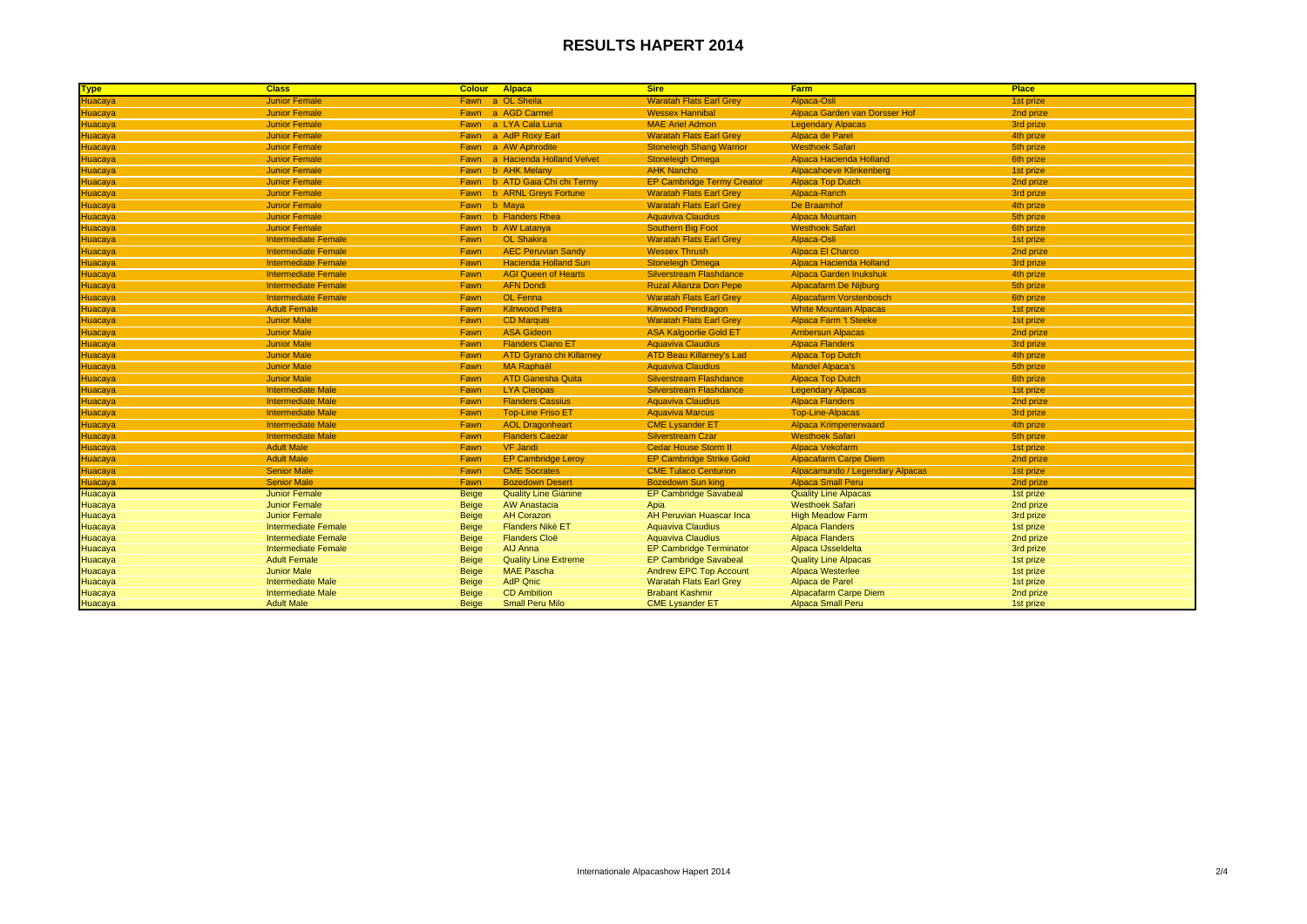| <b>Type</b>    | <b>Class</b>               | <b>Colour Alpaca</b> |                                 | <b>Sire</b>                       | <b>Farm</b>                     | <b>Place</b> |
|----------------|----------------------------|----------------------|---------------------------------|-----------------------------------|---------------------------------|--------------|
| łuacaya        | <b>Junior Female</b>       |                      | Fawn a OL Sheila                | <b>Waratah Flats Earl Grev</b>    | Alpaca-Osli                     | 1st prize    |
| <b>Huacaya</b> | <b>Junior Female</b>       | Fawn                 | a AGD Carmel                    | <b>Wessex Hannibal</b>            | Alpaca Garden van Dorsser Hof   | 2nd prize    |
| Huacaya        | <b>Junior Female</b>       |                      | Fawn a LYA Cala Luna            | <b>MAE Ariel Admon</b>            | <b>Legendary Alpacas</b>        | 3rd prize    |
|                | <b>Junior Female</b>       |                      | Fawn a AdP Roxy Earl            | <b>Waratah Flats Earl Grey</b>    | Alpaca de Parel                 | 4th prize    |
| Huacaya        | <b>Junior Female</b>       |                      | Fawn a AW Aphrodite             | <b>Stoneleigh Shang Warrior</b>   | <b>Westhoek Safari</b>          | 5th prize    |
| Huacaya        | <b>Junior Female</b>       |                      | Fawn a Hacienda Holland Velvet  | <b>Stoneleigh Omega</b>           | Alpaca Hacienda Holland         | 6th prize    |
| <b>Huacaya</b> | <b>Junior Female</b>       |                      | Fawn b AHK Melany               | <b>AHK Nancho</b>                 | <b>Alpacahoeve Klinkenberg</b>  | 1st prize    |
| Huacaya        | <b>Junior Female</b>       |                      | Fawn b ATD Gaia Chi chi Termy   | <b>EP Cambridge Termy Creator</b> | <b>Alpaca Top Dutch</b>         | 2nd prize    |
| Huacaya        | <b>Junior Female</b>       |                      | Fawn b ARNL Greys Fortune       | <b>Waratah Flats Earl Grey</b>    | Alpaca-Ranch                    | 3rd prize    |
| Huacaya        | <b>Junior Female</b>       | Fawn b Maya          |                                 | <b>Waratah Flats Earl Grey</b>    | De Braamhof                     | 4th prize    |
| Huacaya        | <b>Junior Female</b>       |                      | Fawn b Flanders Rhea            | <b>Aguaviva Claudius</b>          | <b>Alpaca Mountain</b>          | 5th prize    |
| Huacaya        | <b>Junior Female</b>       | Fawn                 | b AW Latanya                    | <b>Southern Big Foot</b>          | <b>Westhoek Safari</b>          | 6th prize    |
| <b>Huacaya</b> | <b>Intermediate Female</b> | Fawn                 | <b>OL Shakira</b>               | <b>Waratah Flats Earl Grey</b>    | Alpaca-Osli                     | 1st prize    |
| Huacaya        | <b>Intermediate Female</b> | Fawn                 | <b>AEC Peruvian Sandy</b>       | <b>Wessex Thrush</b>              | Alpaca El Charco                | 2nd prize    |
|                | <b>Intermediate Female</b> | Fawn                 | <b>Hacienda Holland Sun</b>     | <b>Stoneleigh Omega</b>           | Alpaca Hacienda Holland         | 3rd prize    |
| Huacaya        | <b>Intermediate Female</b> | Fawn                 | <b>AGI Queen of Hearts</b>      | <b>Silverstream Flashdance</b>    | <b>Alpaca Garden Inukshuk</b>   | 4th prize    |
| Huacaya        | <b>Intermediate Female</b> | Fawn                 | <b>AFN Dondi</b>                | <b>Ruzal Alianza Don Pepe</b>     | <b>Alpacafarm De Nijburg</b>    | 5th prize    |
| Huacaya        | <b>Intermediate Female</b> | Fawn                 | <b>OL Fenna</b>                 | <b>Waratah Flats Earl Grey</b>    | <b>Alpacafarm Vorstenbosch</b>  | 6th prize    |
| Huacaya        | <b>Adult Female</b>        | Fawn                 | <b>Kilnwood Petra</b>           | <b>Kilnwood Pendragon</b>         | <b>White Mountain Alpacas</b>   | 1st prize    |
| Huacaya        | <b>Junior Male</b>         | Fawn                 | <b>CD Marquis</b>               | <b>Waratah Flats Earl Grey</b>    | <b>Alpaca Farm 't Steeke</b>    | 1st prize    |
| Huacaya        | <b>Junior Male</b>         | Fawn                 | <b>ASA Gideon</b>               | <b>ASA Kalgoorlie Gold ET</b>     | <b>Ambersun Alpacas</b>         | 2nd prize    |
| Huacaya        | <b>Junior Male</b>         | Fawn                 | <b>Flanders Ciano ET</b>        | <b>Aguaviva Claudius</b>          | <b>Alpaca Flanders</b>          | 3rd prize    |
| Huacaya        | <b>Junior Male</b>         | Fawn                 | <b>ATD Gyrano chi Killarney</b> | <b>ATD Beau Killarney's Lad</b>   | <b>Alpaca Top Dutch</b>         | 4th prize    |
|                | <b>Junior Male</b>         | Fawn                 | <b>MA Raphaël</b>               | <b>Aguaviva Claudius</b>          | <b>Mandel Alpaca's</b>          | 5th prize    |
| Huacaya        | <b>Junior Male</b>         | Fawn                 | <b>ATD Ganesha Quita</b>        | <b>Silverstream Flashdance</b>    | <b>Alpaca Top Dutch</b>         | 6th prize    |
|                | <b>Intermediate Male</b>   | Fawn                 | <b>LYA Cleopas</b>              | <b>Silverstream Flashdance</b>    | <b>Legendary Alpacas</b>        | 1st prize    |
| Huacaya        | <b>Intermediate Male</b>   | Fawn                 | <b>Flanders Cassius</b>         | <b>Aguaviva Claudius</b>          | <b>Alpaca Flanders</b>          | 2nd prize    |
| Huacaya        | <b>Intermediate Male</b>   | Fawn                 | <b>Top-Line Friso ET</b>        | <b>Aquaviva Marcus</b>            | <b>Top-Line-Alpacas</b>         | 3rd prize    |
| Huacaya        | <b>Intermediate Male</b>   | Fawn                 | <b>AOL Dragonheart</b>          | <b>CME Lysander ET</b>            | <b>Alpaca Krimpenerwaard</b>    | 4th prize    |
| Huacaya        | <b>Intermediate Male</b>   | Fawn                 | <b>Flanders Caezar</b>          | <b>Silverstream Czar</b>          | <b>Westhoek Safari</b>          | 5th prize    |
| Huacaya        | <b>Adult Male</b>          | Fawn                 | <b>VF Jandi</b>                 | <b>Cedar House Storm II</b>       | Alpaca Vekofarm                 | 1st prize    |
| Huacaya        | <b>Adult Male</b>          | Fawn                 | <b>EP Cambridge Leroy</b>       | <b>EP Cambridge Strike Gold</b>   | <b>Alpacafarm Carpe Diem</b>    | 2nd prize    |
| Huacaya        | <b>Senior Male</b>         | Fawn                 | <b>CME Socrates</b>             | <b>CME Tulaco Centurion</b>       | Alpacamundo / Legendary Alpacas | 1st prize    |
| Huacaya        | <b>Senior Male</b>         | Fawn                 | <b>Bozedown Desert</b>          | <b>Bozedown Sun king</b>          | <b>Alpaca Small Peru</b>        | 2nd prize    |
| Huacaya        | <b>Junior Female</b>       | <b>Beige</b>         | <b>Quality Line Gianine</b>     | <b>EP Cambridge Savabeal</b>      | <b>Quality Line Alpacas</b>     | 1st prize    |
| Huacaya        | <b>Junior Female</b>       | <b>Beige</b>         | <b>AW Anastacia</b>             | Apia                              | <b>Westhoek Safari</b>          | 2nd prize    |
| Huacaya        | <b>Junior Female</b>       | <b>Beige</b>         | <b>AH Corazon</b>               | <b>AH Peruvian Huascar Inca</b>   | <b>High Meadow Farm</b>         | 3rd prize    |
| Huacaya        | <b>Intermediate Female</b> | <b>Beige</b>         | <b>Flanders Nikè ET</b>         | <b>Aquaviva Claudius</b>          | <b>Alpaca Flanders</b>          | 1st prize    |
| Huacaya        | <b>Intermediate Female</b> | <b>Beige</b>         | <b>Flanders Cloë</b>            | <b>Aquaviva Claudius</b>          | <b>Alpaca Flanders</b>          | 2nd prize    |
| Huacaya        | <b>Intermediate Female</b> | <b>Beige</b>         | AIJ Anna                        | <b>EP Cambridge Terminator</b>    | Alpaca IJsseldelta              | 3rd prize    |
| Huacaya        | <b>Adult Female</b>        | <b>Beige</b>         | <b>Quality Line Extreme</b>     | <b>EP Cambridge Savabeal</b>      | <b>Quality Line Alpacas</b>     | 1st prize    |
| Huacaya        | <b>Junior Male</b>         | <b>Beige</b>         | <b>MAE Pascha</b>               | <b>Andrew EPC Top Account</b>     | Alpaca Westerlee                | 1st prize    |
| Huacaya        | <b>Intermediate Male</b>   | <b>Beige</b>         | <b>AdP Qnic</b>                 | <b>Waratah Flats Earl Grey</b>    | Alpaca de Parel                 | 1st prize    |
| Huacaya        | <b>Intermediate Male</b>   | <b>Beige</b>         | <b>CD</b> Ambition              | <b>Brabant Kashmir</b>            | Alpacafarm Carpe Diem           | 2nd prize    |
| Huacaya        | <b>Adult Male</b>          | <b>Beige</b>         | <b>Small Peru Milo</b>          | <b>CME Lysander ET</b>            | <b>Alpaca Small Peru</b>        | 1st prize    |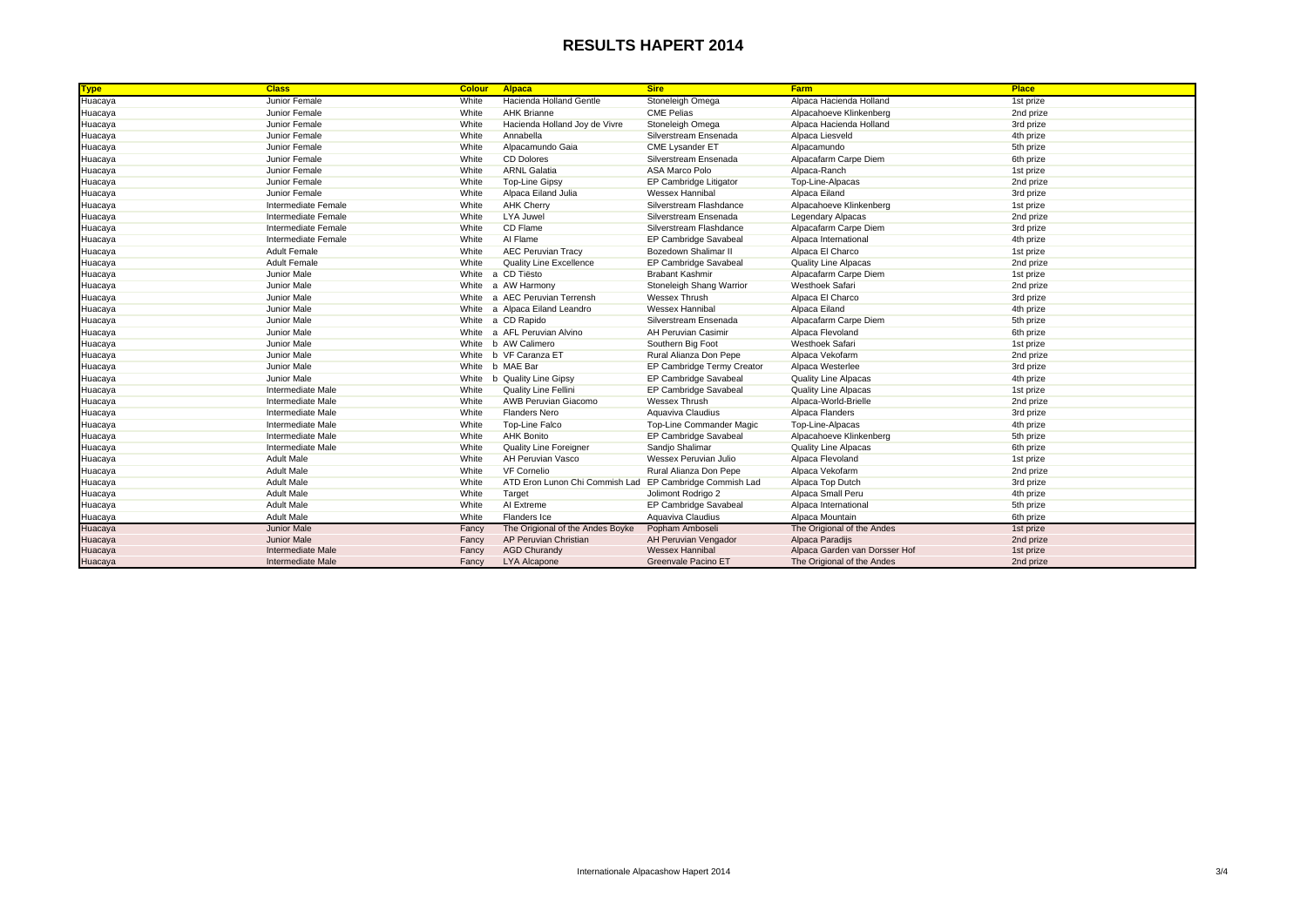| <b>Type</b> | <b>Class</b>        | <b>Colour</b> | Alpaca                           | <b>Sire</b>                | <b>Farm</b>                   | Place     |
|-------------|---------------------|---------------|----------------------------------|----------------------------|-------------------------------|-----------|
| Huacaya     | Junior Female       | White         | Hacienda Holland Gentle          | Stoneleigh Omega           | Alpaca Hacienda Holland       | 1st prize |
| Huacaya     | Junior Female       | White         | <b>AHK Brianne</b>               | <b>CME Pelias</b>          | Alpacahoeve Klinkenberg       | 2nd prize |
| Huacaya     | Junior Female       | White         | Hacienda Holland Joy de Vivre    | Stoneleigh Omega           | Alpaca Hacienda Holland       | 3rd prize |
| Huacaya     | Junior Female       | White         | Annabella                        | Silverstream Ensenada      | Alpaca Liesveld               | 4th prize |
| Huacaya     | Junior Female       | White         | Alpacamundo Gaia                 | <b>CME Lysander ET</b>     | Alpacamundo                   | 5th prize |
| Huacaya     | Junior Female       | White         | <b>CD Dolores</b>                | Silverstream Ensenada      | Alpacafarm Carpe Diem         | 6th prize |
| Huacaya     | Junior Female       | White         | <b>ARNL Galatia</b>              | ASA Marco Polo             | Alpaca-Ranch                  | 1st prize |
| Huacaya     | Junior Female       | White         | <b>Top-Line Gipsy</b>            | EP Cambridge Litigator     | Top-Line-Alpacas              | 2nd prize |
| Huacaya     | Junior Female       | White         | Alpaca Eiland Julia              | Wessex Hannibal            | Alpaca Eiland                 | 3rd prize |
| Huacaya     | Intermediate Female | White         | <b>AHK Cherry</b>                | Silverstream Flashdance    | Alpacahoeve Klinkenberg       | 1st prize |
| Huacaya     | Intermediate Female | White         | LYA Juwel                        | Silverstream Ensenada      | <b>Legendary Alpacas</b>      | 2nd prize |
| Huacaya     | Intermediate Female | White         | CD Flame                         | Silverstream Flashdance    | Alpacafarm Carpe Diem         | 3rd prize |
| Huacaya     | Intermediate Female | White         | Al Flame                         | EP Cambridge Savabeal      | Alpaca International          | 4th prize |
| Huacaya     | <b>Adult Female</b> | White         | <b>AEC Peruvian Tracy</b>        | Bozedown Shalimar II       | Alpaca El Charco              | 1st prize |
| Huacaya     | <b>Adult Female</b> | White         | <b>Quality Line Excellence</b>   | EP Cambridge Savabeal      | <b>Quality Line Alpacas</b>   | 2nd prize |
| Huacaya     | Junior Male         | White         | a CD Tiësto                      | <b>Brabant Kashmir</b>     | Alpacafarm Carpe Diem         | 1st prize |
| Huacaya     | Junior Male         | White         | a AW Harmony                     | Stoneleigh Shang Warrior   | <b>Westhoek Safari</b>        | 2nd prize |
| Huacaya     | Junior Male         | White         | a AEC Peruvian Terrensh          | Wessex Thrush              | Alpaca El Charco              | 3rd prize |
| Huacaya     | Junior Male         | White         | a Alpaca Eiland Leandro          | Wessex Hannibal            | Alpaca Eiland                 | 4th prize |
| Huacaya     | Junior Male         | White         | a CD Rapido                      | Silverstream Ensenada      | Alpacafarm Carpe Diem         | 5th prize |
| Huacaya     | Junior Male         |               | White a AFL Peruvian Alvino      | <b>AH Peruvian Casimir</b> | Alpaca Flevoland              | 6th prize |
| Huacaya     | Junior Male         |               | White b AW Calimero              | Southern Big Foot          | <b>Westhoek Safari</b>        | 1st prize |
| Huacaya     | Junior Male         | White         | b VF Caranza ET                  | Rural Alianza Don Pepe     | Alpaca Vekofarm               | 2nd prize |
| Huacaya     | Junior Male         | White         | b MAE Bar                        | EP Cambridge Termy Creator | Alpaca Westerlee              | 3rd prize |
| Huacaya     | Junior Male         | White         | b Quality Line Gipsy             | EP Cambridge Savabeal      | <b>Quality Line Alpacas</b>   | 4th prize |
| Huacaya     | Intermediate Male   | White         | Quality Line Fellini             | EP Cambridge Savabeal      | <b>Quality Line Alpacas</b>   | 1st prize |
| Huacaya     | Intermediate Male   | White         | <b>AWB Peruvian Giacomo</b>      | Wessex Thrush              | Alpaca-World-Brielle          | 2nd prize |
| Huacaya     | Intermediate Male   | White         | <b>Flanders Nero</b>             | Aquaviva Claudius          | Alpaca Flanders               | 3rd prize |
| Huacaya     | Intermediate Male   | White         | Top-Line Falco                   | Top-Line Commander Magic   | Top-Line-Alpacas              | 4th prize |
| Huacaya     | Intermediate Male   | White         | <b>AHK Bonito</b>                | EP Cambridge Savabeal      | Alpacahoeve Klinkenberg       | 5th prize |
| Huacaya     | Intermediate Male   | White         | <b>Quality Line Foreigner</b>    | Sandjo Shalimar            | <b>Quality Line Alpacas</b>   | 6th prize |
| Huacaya     | <b>Adult Male</b>   | White         | AH Peruvian Vasco                | Wessex Peruvian Julio      | Alpaca Flevoland              | 1st prize |
| Huacaya     | <b>Adult Male</b>   | White         | <b>VF Cornelio</b>               | Rural Alianza Don Pepe     | Alpaca Vekofarm               | 2nd prize |
| Huacaya     | <b>Adult Male</b>   | White         | ATD Eron Lunon Chi Commish Lad   | EP Cambridge Commish Lad   | Alpaca Top Dutch              | 3rd prize |
| Huacaya     | <b>Adult Male</b>   | White         | Target                           | Jolimont Rodrigo 2         | Alpaca Small Peru             | 4th prize |
| Huacaya     | <b>Adult Male</b>   | White         | AI Extreme                       | EP Cambridge Savabeal      | Alpaca International          | 5th prize |
| Huacaya     | <b>Adult Male</b>   | White         | Flanders Ice                     | Aquaviva Claudius          | Alpaca Mountain               | 6th prize |
| Huacaya     | <b>Junior Male</b>  | Fancy         | The Origional of the Andes Boyke | Popham Amboseli            | The Origional of the Andes    | 1st prize |
| Huacaya     | <b>Junior Male</b>  | Fancy         | AP Peruvian Christian            | AH Peruvian Vengador       | Alpaca Paradijs               | 2nd prize |
| Huacaya     | Intermediate Male   | Fancy         | <b>AGD Churandy</b>              | <b>Wessex Hannibal</b>     | Alpaca Garden van Dorsser Hof | 1st prize |
| Huacaya     | Intermediate Male   | Fancy         | <b>LYA Alcapone</b>              | Greenvale Pacino ET        | The Origional of the Andes    | 2nd prize |